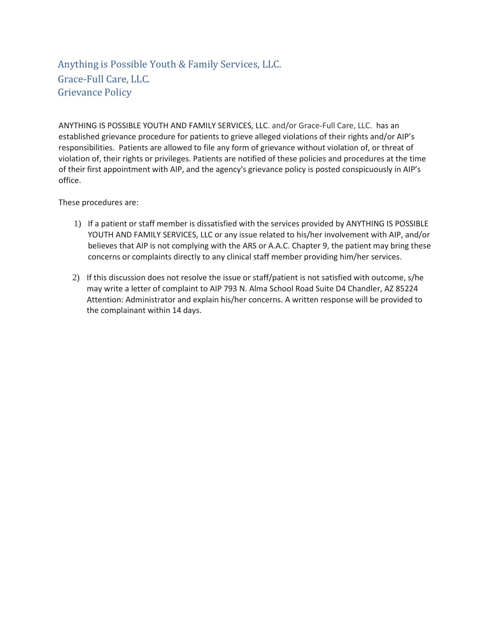Anything is Possible Youth & Family Services, LLC. Grace-Full Care, LLC. Grievance Policy

ANYTHING IS POSSIBLE YOUTH AND FAMILY SERVICES, LLC. and/or Grace-Full Care, LLC. has an established grievance procedure for patients to grieve alleged violations of their rights and/or AIP's responsibilities. Patients are allowed to file any form of grievance without violation of, or threat of violation of, their rights or privileges. Patients are notified of these policies and procedures at the time of their first appointment with AIP, and the agency's grievance policy is posted conspicuously in AIP's office.

These procedures are:

- 1) If a patient or staff member is dissatisfied with the services provided by ANYTHING IS POSSIBLE YOUTH AND FAMILY SERVICES, LLC or any issue related to his/her involvement with AIP, and/or believes that AIP is not complying with the ARS or A.A.C. Chapter 9, the patient may bring these concerns or complaints directly to any clinical staff member providing him/her services.
- 2) If this discussion does not resolve the issue or staff/patient is not satisfied with outcome, s/he may write a letter of complaint to AIP 793 N. Alma School Road Suite D4 Chandler, AZ 85224 Attention: Administrator and explain his/her concerns. A written response will be provided to the complainant within 14 days.